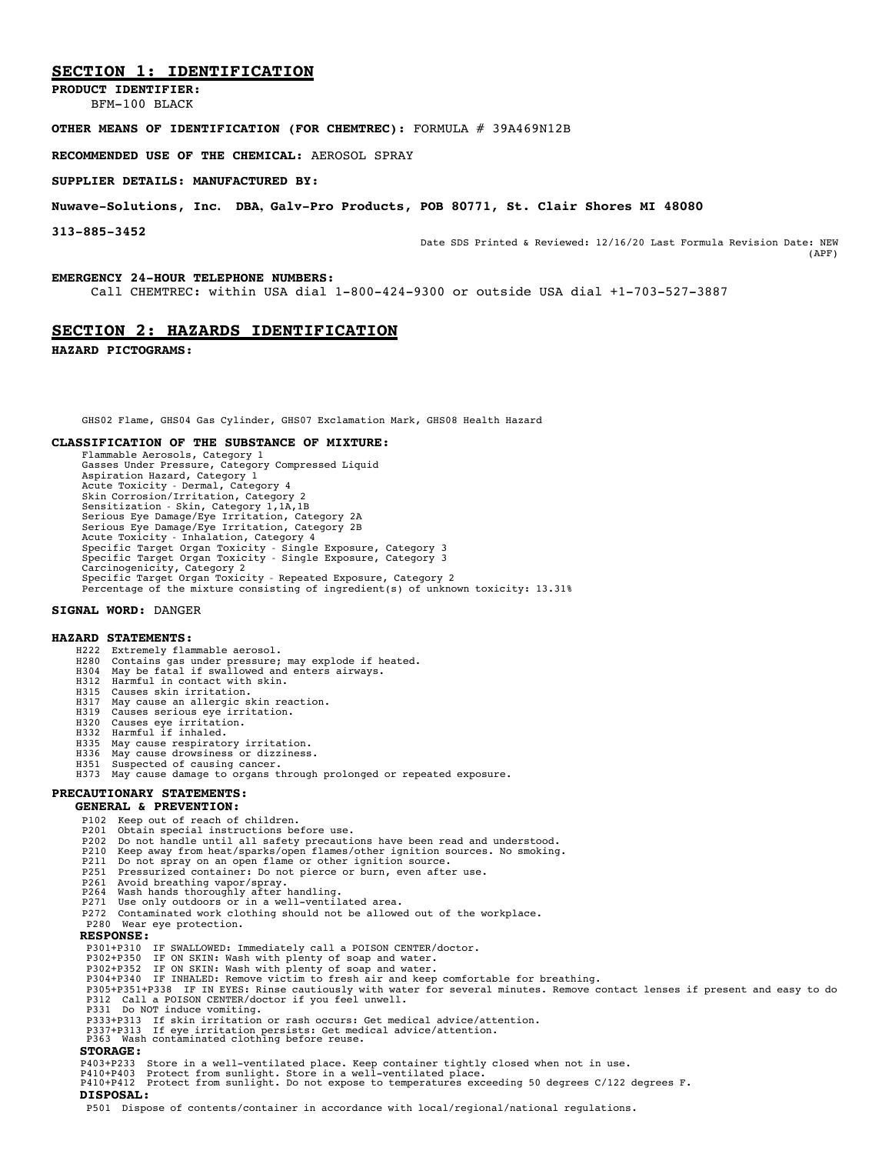## **SECTION 1: IDENTIFICATION**

**PRODUCT IDENTIFIER:** BFM-100 BLACK

## **OTHER MEANS OF IDENTIFICATION (FOR CHEMTREC):** FORMULA # 39A469N12B

**RECOMMENDED USE OF THE CHEMICAL:** AEROSOL SPRAY

#### **SUPPLIER DETAILS: MANUFACTURED BY:**

#### **Nuwave-Solutions, Inc. DBA, Galv-Pro Products, POB 80771, St. Clair Shores MI 48080**

**313-885-3452** Date SDS Printed & Reviewed: 12/16/20 Last Formula Revision Date: NEW (APF)

#### **EMERGENCY 24-HOUR TELEPHONE NUMBERS:**

Call CHEMTREC: within USA dial 1-800-424-9300 or outside USA dial +1-703-527-3887

### **SECTION 2: HAZARDS IDENTIFICATION**

**HAZARD PICTOGRAMS:**

GHS02 Flame, GHS04 Gas Cylinder, GHS07 Exclamation Mark, GHS08 Health Hazard

#### **CLASSIFICATION OF THE SUBSTANCE OF MIXTURE:**

Flammable Aerosols, Category 1 Gasses Under Pressure, Category Compressed Liquid Aspiration Hazard, Category 1 Acute Toxicity - Dermal, Category 4 Skin Corrosion/Irritation, Category 2 Sensitization - Skin, Category 1,1A,1B Serious Eye Damage/Eye Irritation, Category 2A Serious Eye Damage/Eye Irritation, Category 2B Acute Toxicity - Inhalation, Category 4 Specific Target Organ Toxicity - Single Exposure, Category 3 Specific Target Organ Toxicity - Single Exposure, Category 3 Carcinogenicity, Category <sup>2</sup> Specific Target Organ Toxicity - Repeated Exposure, Category <sup>2</sup> Percentage of the mixture consisting of ingredient(s) of unknown toxicity: 13.31%

#### **SIGNAL WORD:** DANGER

#### **HAZARD STATEMENTS:**

- H222 Extremely flammable aerosol.
- H280 Contains gas under pressure; may explode if heated. H304 May be fatal if swallowed and enters airways.
- 
- H312 Harmful in contact with skin.
- H315 Causes skin irritation. H317 May cause an allergic skin reaction.
- H319 Causes serious eye irritation.
- H320 Causes eye irritation.
- 
- H332 Harmful if inhaled. H335 May cause respiratory irritation.
- H336 May cause drowsiness or dizziness.
- H351 Suspected of causing cancer.
- H373 May cause damage to organs through prolonged or repeated exposure.

# **PRECAUTIONARY STATEMENTS:**

- **GENERAL & PREVENTION:**
	- P102 Keep out of reach of children.
	- P201 Obtain special instructions before use.<br>P202 Do not handle until all safety precauti
	-
	- P202 Do not handle until all safety precautions have been read and understood. P210 Keep away from heat/sparks/open flames/other ignition sources. No smoking. P211 Do not spray on an open flame or other ignition source.
	-
	- P251 Pressurized container: Do not pierce or burn, even after use. P261 Avoid breathing vapor/spray.
	-
	- P264 Wash hands thoroughly after handling. P271 Use only outdoors or in <sup>a</sup> well-ventilated area.
	- P272 Contaminated work clothing should not be allowed out of the workplace. P280 Wear eye protection.
	-

#### **RESPONSE:**

- P301+P310 IF SWALLOWED: Immediately call a POISON CENTER/doctor. P302+P350 IF ON SKIN: Wash with plenty of soap and water.
- 
- 
- 
- P302+P352 IF ON SKIN: Wash with plenty of soap and water.<br>P304+P340 IF INHALED: Remove victim to fresh air and keep comfortable for breathing.<br>P305+P351+P338 IF IN EYES: Rinse cautiously with water for several minutes. P312 Call a POISON CENTER/doctor if you feel unwell.
- P331 Do NOT induce vomiting.
- P333+P313 If skin irritation or rash occurs: Get medical advice/attention.
- P337+P313 If eye irritation persists: Get medical advice/attention. P363 Wash contaminated clothing before reuse.
- **STORAGE:**
- 
- P403+P233 Store in a well-ventilated place. Keep container tightly closed when not in use.<br>P410+P403 Protect from sunlight. Store in a well-ventilated place.<br>P410+P412 Protect from sunlight. Do not expose to temperature
- **DISPOSAL:**
- P501 Dispose of contents/container in accordance with local/regional/national regulations.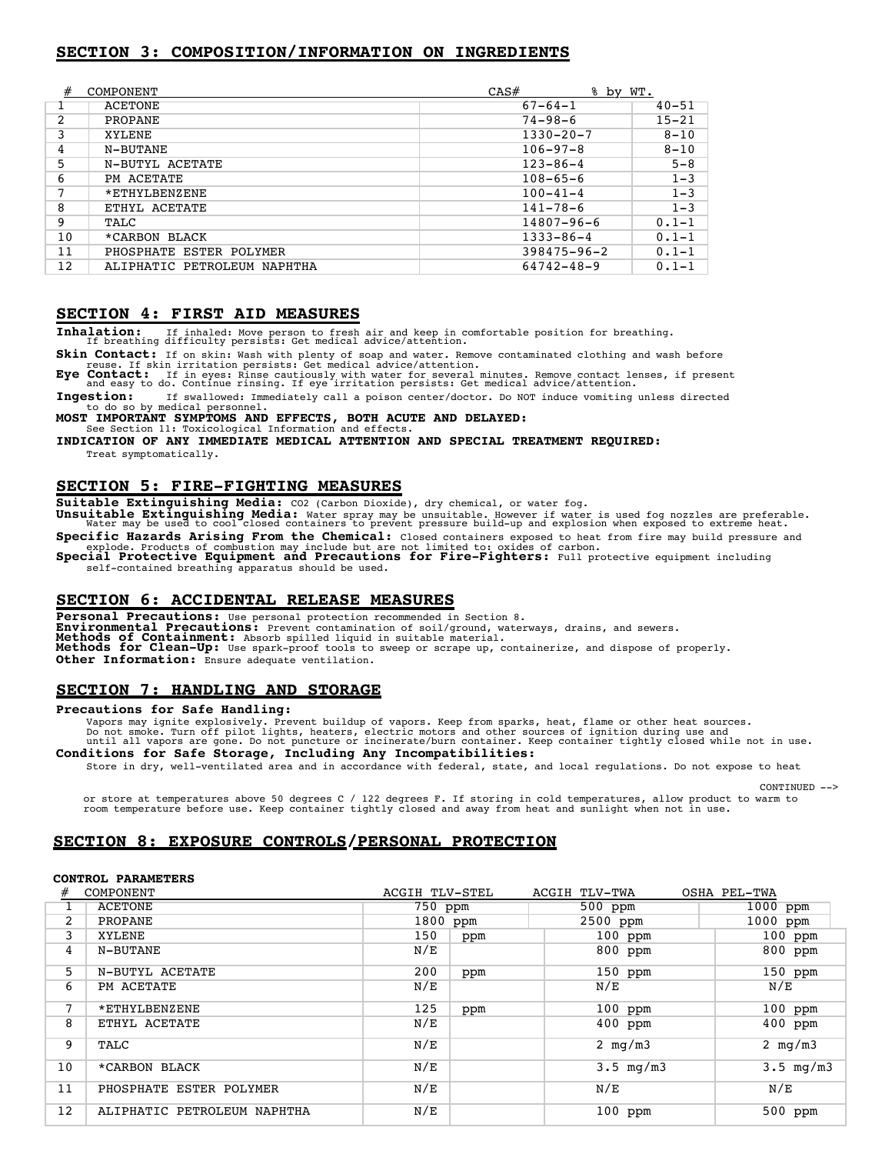## **SECTION 3: COMPOSITION/INFORMATION ON INGREDIENTS**

| #  | COMPONENT                   | CAS#              | <u>% by WT.</u> |
|----|-----------------------------|-------------------|-----------------|
|    | ACETONE                     | $67 - 64 - 1$     | $40 - 51$       |
| 2  | PROPANE                     | $74 - 98 - 6$     | $15 - 21$       |
|    | XYLENE                      | $1330 - 20 - 7$   | $8 - 10$        |
| 4  | N-BUTANE                    | $106 - 97 - 8$    | $8 - 10$        |
| 5  | N-BUTYL ACETATE             | $123 - 86 - 4$    | $5 - 8$         |
| 6  | PM ACETATE                  | $108 - 65 - 6$    | $1 - 3$         |
|    | *ETHYLBENZENE               | $100 - 41 - 4$    | $1 - 3$         |
| 8  | ETHYL ACETATE               | $141 - 78 - 6$    | $1 - 3$         |
| 9  | TALC                        | $14807 - 96 - 6$  | $0.1 - 1$       |
| 10 | *CARBON BLACK               | $1333 - 86 - 4$   | $0.1 - 1$       |
| 11 | PHOSPHATE ESTER POLYMER     | $398475 - 96 - 2$ | $0.1 - 1$       |
| 12 | ALIPHATIC PETROLEUM NAPHTHA | 64742-48-9        | $0.1 - 1$       |

## **SECTION 4: FIRST AID MEASURES**

**Inhalation:** If inhaled: Move person to fresh air and keep in comfortable position for breathing. If breathing difficulty persists: Get medical advice/attention.

Skin Contact: If on skin: Wash with plenty of soap and water. Remove contaminated clothing and wash before<br>reuse. If skin irritation persists: Get medical advice/attention.<br>Eye Contact: If in eyes: Rinse cautiously with wa

**Ingestion:** If swallowed: Immediately call a poison center/doctor. Do NOT induce vomiting unless directed to do so by medical personnel.

**MOST IMPORTANT SYMPTOMS AND EFFECTS, BOTH ACUTE AND DELAYED:** See Section 11: Toxicological Information and effects.

#### **INDICATION OF ANY IMMEDIATE MEDICAL ATTENTION AND SPECIAL TREATMENT REQUIRED:** Treat symptomatically.

## **SECTION 5: FIRE-FIGHTING MEASURES**

**Suitable Extinguishing Media:** CO2 (Carbon Dioxide), dry chemical, or water fog.

Unsuitable Extinguishing Media: Water spray may be unsuitable. However if water is used fog nozzles are preferable.<br>Water may be used to cool closed containers to prevent pressure build-up and explosion when exposed to ext

**Specific Hazards Arising From the Chemical:** Closed containers exposed to heat from fire may build pressure and explode. Products of combustion may include but are not limited to: oxides of carbon.<br>Special Protective Equipment and Precautions for Fire-Fighters: Full protective equipment including

self-contained breathing apparatus should be used.

## **SECTION 6: ACCIDENTAL RELEASE MEASURES**

**Personal Precautions:** Use personal protection recommended in Section 8.<br>**Environmental Precautions:** Prevent contamination of soil/ground, waterways, drains, and sewers. Environmental Precautions: Prevent contamination of soil/ground, waterways, drains, and sewers.<br>Methods of Containment: Absorb spilled liquid in suitable material.<br>Methods for Clean-Up: Use spark-proof tools to sweep or sc **Other Information:** Ensure adequate ventilation.

## **SECTION 7: HANDLING AND STORAGE**

#### **Precautions for Safe Handling:**

Vapors may ignite explosively. Prevent buildup of vapors. Keep from sparks, heat, flame or other heat sources.<br>Do not smoke. Turn off pilot lights, heaters, electric motors and other sources of ignition during use and<br>unti **Conditions for Safe Storage, Including Any Incompatibilities:**

Store in dry, well-ventilated area and in accordance with federal, state, and local regulations. Do not expose to heat

or store at temperatures above 50 degrees C / 122 degrees F. If storing in cold temperatures, allow product to warm to room temperature before use. Keep container tightly closed and away from heat and sunlight when not in

 $CONTNUED$   $\rightarrow$ 

## **SECTION 8: EXPOSURE CONTROLS/PERSONAL PROTECTION**

#### **CONTROL PARAMETERS**

|    | COMPONENT                   | ACGIH TLV-STEL |     | ACGIH TLV-TWA               | OSHA PEL-TWA                  |
|----|-----------------------------|----------------|-----|-----------------------------|-------------------------------|
|    | <b>ACETONE</b>              | 750 ppm        |     | 500 ppm                     | 1000 ppm                      |
| 2  | PROPANE                     | 1800 ppm       |     | 2500 ppm                    | 1000 ppm                      |
| 3  | XYLENE                      | 150            | ppm | $100$ ppm                   | 100 ppm                       |
| 4  | N-BUTANE                    | N/E            |     | 800 ppm                     | $800$ ppm                     |
| 5  | N-BUTYL ACETATE             | 200            | ppm | $150$ ppm                   | 150 ppm                       |
| 6  | PM ACETATE                  | N/E            |     | N/E                         | N/E                           |
| 7  | *ETHYLBENZENE               | 125            | ppm | $100$ ppm                   | $100$ ppm                     |
| 8  | ETHYL ACETATE               | N/E            |     | 400 ppm                     | $400$ ppm                     |
| 9  | TALC                        | N/E            |     | 2 $mq/m3$                   | 2 $mg/m3$                     |
| 10 | *CARBON BLACK               | N/E            |     | $3.5 \, \text{mg}/\text{m}$ | $3.5 \, \text{mg}/\text{m}$ 3 |
| 11 | PHOSPHATE ESTER POLYMER     | N/E            |     | N/E                         | N/E                           |
| 12 | ALIPHATIC PETROLEUM NAPHTHA | N/E            |     | $100$ ppm                   | $500$ ppm                     |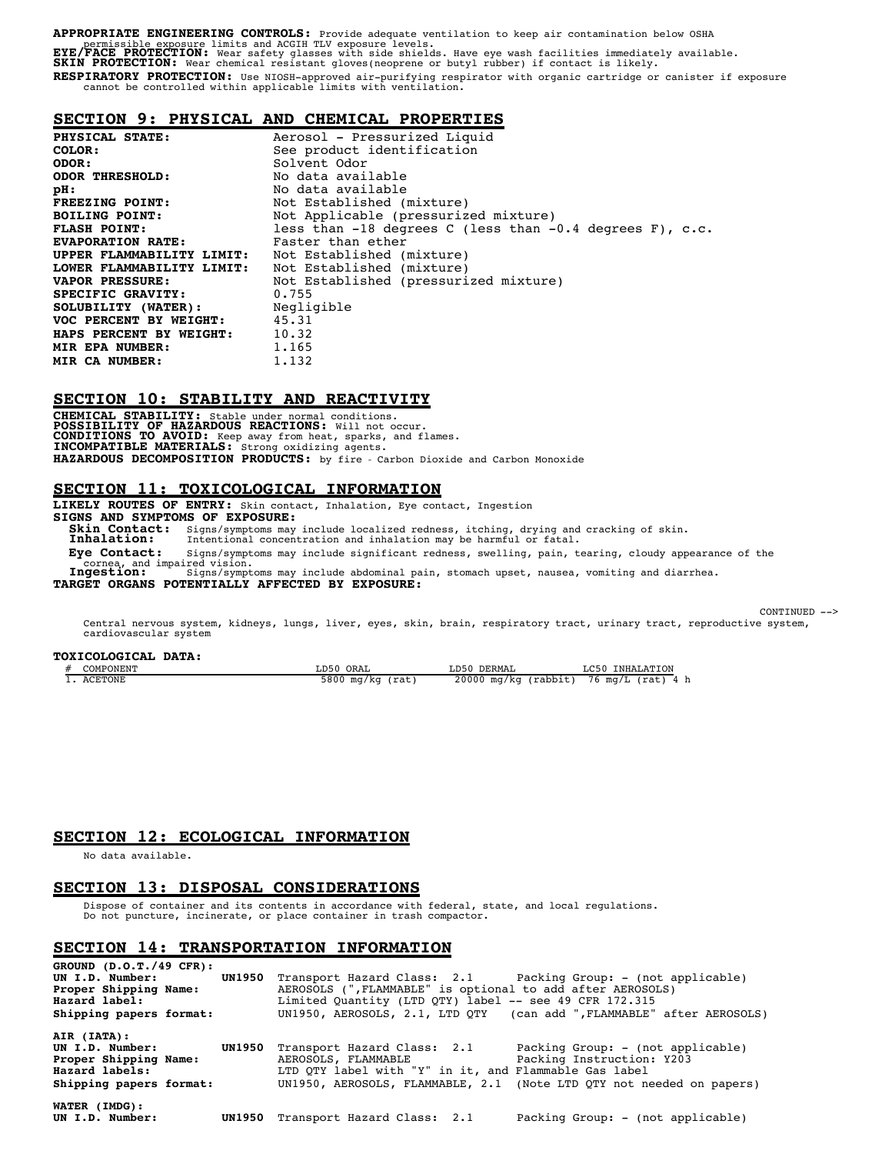# **APPROPRIATE ENGINEERING CONTROLS:** Provide adequate ventilation to keep air contamination below OSHA<br>EXE/FACE PROTECTION: Wear sad ACGIH TLV exposure levels.<br>EXE/FACE PROTECTION: Wear safety glasses with side shields. Hav **RESPIRATORY PROTECTION:** Use NIOSH-approved air-purifying respirator with organic cartridge or canister if exposure cannot be controlled within applicable limits with ventilation.

## **SECTION 9: PHYSICAL AND CHEMICAL PROPERTIES**

| PHYSICAL STATE:                       | Aerosol - Pressurized Liquid                                 |  |  |
|---------------------------------------|--------------------------------------------------------------|--|--|
| COLOR:                                | See product identification                                   |  |  |
| ODOR:                                 | Solvent Odor                                                 |  |  |
| <b>ODOR THRESHOLD:</b>                | No data available                                            |  |  |
| pH:                                   | No data available                                            |  |  |
| FREEZING POINT:                       | Not Established (mixture)                                    |  |  |
| <b>BOILING POINT:</b>                 | Not Applicable (pressurized mixture)                         |  |  |
| <b>FLASH POINT:</b>                   | less than $-18$ degrees C (less than $-0.4$ degrees F), c.c. |  |  |
| <b>EVAPORATION RATE:</b>              | Faster than ether                                            |  |  |
| UPPER FLAMMABILITY LIMIT:             | Not Established (mixture)                                    |  |  |
| LOWER FLAMMABILITY LIMIT:             | Not Established (mixture)                                    |  |  |
| <b>VAPOR PRESSURE:</b>                | Not Established (pressurized mixture)                        |  |  |
| 0.755<br>SPECIFIC GRAVITY:            |                                                              |  |  |
| <b>SOLUBILITY (WATER):</b> Negligible |                                                              |  |  |
| VOC PERCENT BY WEIGHT: 45.31          |                                                              |  |  |
| HAPS PERCENT BY WEIGHT: 10.32         |                                                              |  |  |
| MIR EPA NUMBER:                       | 1.165                                                        |  |  |
| MIR CA NUMBER:                        | 1.132                                                        |  |  |

## **SECTION 10: STABILITY AND REACTIVITY**

**CHEMICAL STABILITY:** Stable under normal conditions.<br>**POSSIBILITY OF HAZARDOUS REACTIONS:** Will not occur.<br>**CONDITIONS TO AVOID:** Keep away from heat, sparks, and flames.<br>**INCOMPATIBLE MATERIALS:** Strong oxidizing agents. **HAZARDOUS DECOMPOSITION PRODUCTS:** by fire - Carbon Dioxide and Carbon Monoxide

# **SECTION 11: TOXICOLOGICAL INFORMATION**

**LIKELY ROUTES OF ENTRY:** Skin contact, Inhalation, Eye contact, Ingestion **SIGNS AND SYMPTOMS OF EXPOSURE: Skin Contact:** Signs/symptoms may include localized redness, itching, drying and cracking of skin.<br>**Inhalation:** Intentional concentration and inhalation may be harmful or fatal. Intentional concentration and inhalation may be harmful or fatal. **Eye Contact:** Signs/symptoms may include significant redness, swelling, pain, tearing, cloudy appearance of the cornea, and impaired vision. **Ingestion:** Signs/symptoms may include abdominal pain, stomach upset, nausea, vomiting and diarrhea. **TARGET ORGANS POTENTIALLY AFFECTED BY EXPOSURE:**

CONTINUED -->

Central nervous system, kidneys, lungs, liver, eyes, skin, brain, respiratory tract, urinary tract, reproductive system, cardiovascular system

## **TOXICOLOGICAL DATA:**

| COMPONENT | LD50 ORAL           | LD50<br>DERMAL                 | LC50<br>INHALATION          |
|-----------|---------------------|--------------------------------|-----------------------------|
| ACETONE   | 5800 ma/ka<br>(rat) | 20000<br>J ma∕ka ′<br>(rabbit) | $76 \text{ mg/L}$ (rat) 4 h |

## **SECTION 12: ECOLOGICAL INFORMATION**

No data available.

## **SECTION 13: DISPOSAL CONSIDERATIONS**

Dispose of container and its contents in accordance with federal, state, and local regulations. Do not puncture, incinerate, or place container in trash compactor.

# **SECTION 14: TRANSPORTATION INFORMATION**

| GROUND $(D.0.T./49 CFR)$ :<br>UN I.D. Number:<br>Proper Shipping Name:<br>Hazard label:<br>Shipping papers format: | <b>UN1950</b> | Transport Hazard Class: 2.1 Packing Group: - (not applicable)<br>AEROSOLS (", FLAMMABLE" is optional to add after AEROSOLS)<br>Limited Quantity (LTD QTY) label -- see 49 CFR 172.315 | UN1950, AEROSOLS, 2.1, LTD QTY (can add ", FLAMMABLE" after AEROSOLS)                                                                  |
|--------------------------------------------------------------------------------------------------------------------|---------------|---------------------------------------------------------------------------------------------------------------------------------------------------------------------------------------|----------------------------------------------------------------------------------------------------------------------------------------|
| AIR (IATA):<br>UN I.D. Number:<br>Proper Shipping Name:<br>Hazard labels:<br>Shipping papers format:               |               | UN1950 Transport Hazard Class: 2.1<br>AEROSOLS, FLAMMABLE<br>LTD QTY label with "Y" in it, and Flammable Gas label                                                                    | Packing Group: - (not applicable)<br>Packing Instruction: Y203<br>UN1950, AEROSOLS, FLAMMABLE, 2.1 (Note LTD OTY not needed on papers) |
| WATER (IMDG):<br>UN I.D. Number:                                                                                   |               | UN1950 Transport Hazard Class: 2.1                                                                                                                                                    | Packing Group: - (not applicable)                                                                                                      |